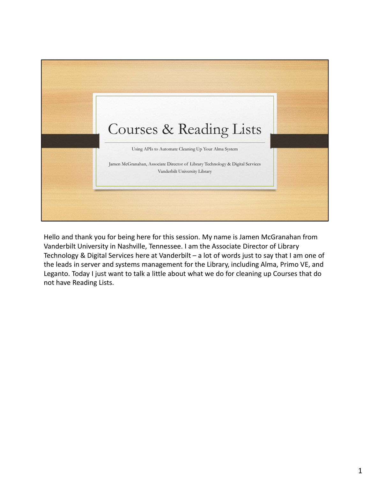

Hello and thank you for being here for this session. My name is Jamen McGranahan from Vanderbilt University in Nashville, Tennessee. I am the Associate Director of Library the leads in server and systems management for the Library, including Alma, Primo VE, and Leganto. Today I just want to talk a little about what we do for cleaning up Courses that do not have Reading Lists.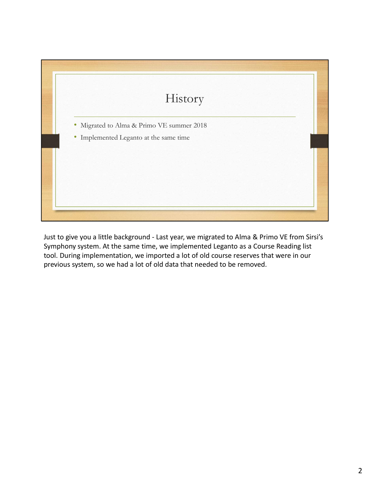

Symphony system. At the same time, we implemented Leganto as a Course Reading list tool. During implementation, we imported a lot of old course reserves that were in our previous system, so we had a lot of old data that needed to be removed.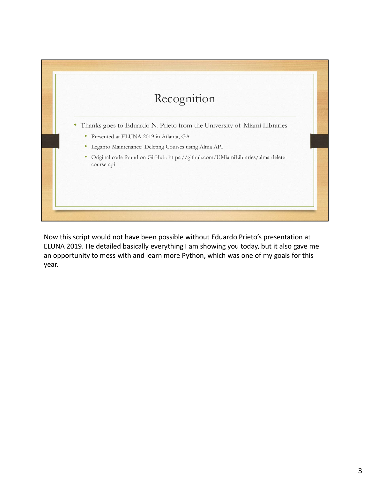

Now this script would not have been possible without Eduardo Prieto's presentation at ELUNA 2019. He detailed basically everything I am showing you today, but it also gave me an opportunity to mess with and learn more Python, which was one of my goals for this year.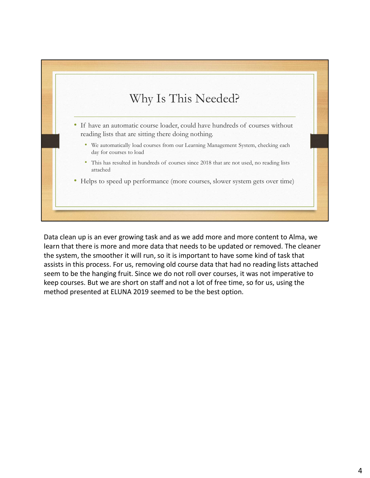

Data clean up is an ever growing task and as we add more and more content to Alma, we learn that there is more and more data that needs to be updated or removed. The cleaner the system, the smoother it will run, so it is important to have some kind of task that assists in this process. For us, removing old course data that had no reading lists attached seem to be the hanging fruit. Since we do not roll over courses, it was not imperative to keep courses. But we are short on staff and not a lot of free time, so for us, using the method presented at ELUNA 2019 seemed to be the best option.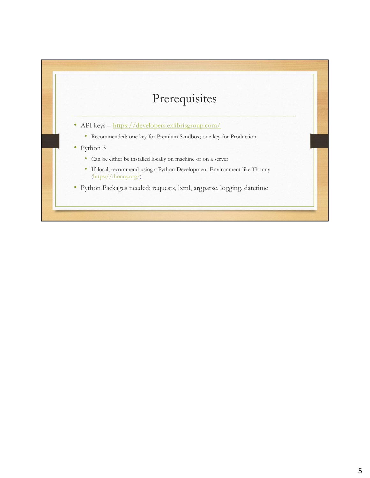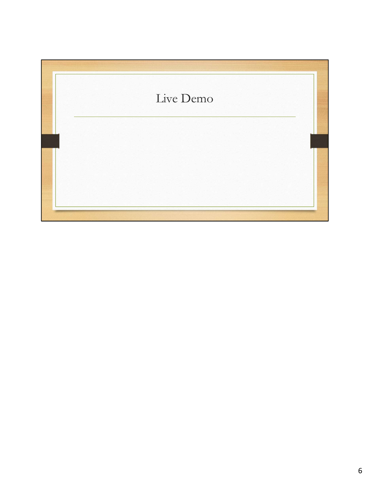